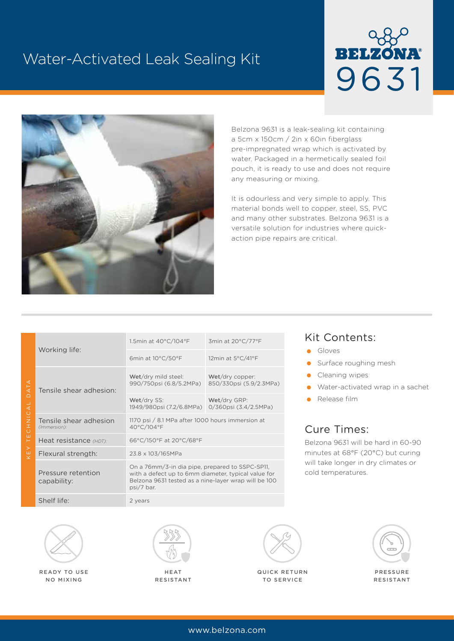# Water-Activated Leak Sealing Kit





Belzona 9631 is a leak-sealing kit containing a 5cm x 150cm / 2in x 60in fiberglass pre-impregnated wrap which is activated by water. Packaged in a hermetically sealed foil pouch, it is ready to use and does not require any measuring or mixing.

It is odourless and very simple to apply. This material bonds well to copper, steel, SS, PVC and many other substrates. Belzona 9631 is a versatile solution for industries where quickaction pipe repairs are critical.

| $\triangleleft$<br>$\overline{\overline{5}}$<br>$\cap$<br>CAL<br>$\bar{z}$<br>$\overline{0}$<br>ш<br>$\vdash$<br>≻<br>$\overline{\mathsf{x}}$ | Working life:                          | 1.5min at 40°C/104°F                                                                                                                                                         | 3min at 20°C/77°F                          |
|-----------------------------------------------------------------------------------------------------------------------------------------------|----------------------------------------|------------------------------------------------------------------------------------------------------------------------------------------------------------------------------|--------------------------------------------|
|                                                                                                                                               |                                        | 6min at 10°C/50°F                                                                                                                                                            | 12min at 5°C/41°F                          |
|                                                                                                                                               | Tensile shear adhesion:                | Wet/dry mild steel:<br>990/750psi (6.8/5.2MPa)                                                                                                                               | Wet/dry copper:<br>850/330psi (5.9/2.3MPa) |
|                                                                                                                                               |                                        | Wet/dry SS:<br>1949/980psi (7.2/6.8MPa) 0/360psi (3.4/2.5MPa)                                                                                                                | Wet/dry GRP:                               |
|                                                                                                                                               | Tensile shear adhesion<br>(Immersion): | 1170 psi / 8.1 MPa after 1000 hours immersion at<br>40°C/104°F                                                                                                               |                                            |
|                                                                                                                                               | Heat resistance (HDT):                 | 66°C/150°F at 20°C/68°F                                                                                                                                                      |                                            |
|                                                                                                                                               | Flexural strength:                     | 23.8 x 103/165MPa                                                                                                                                                            |                                            |
|                                                                                                                                               | Pressure retention<br>capability:      | On a 76mm/3-in dia pipe, prepared to SSPC-SP11,<br>with a defect up to 6mm diameter, typical value for<br>Belzona 9631 tested as a nine-layer wrap will be 100<br>psi/7 bar. |                                            |
|                                                                                                                                               | Shelf life:                            | 2 years                                                                                                                                                                      |                                            |

### Kit Contents:

- **Gloves**
- **Surface roughing mesh**
- Cleaning wipes
- Water-activated wrap in a sachet
- **Release film**

### Cure Times:

Belzona 9631 will be hard in 60-90 minutes at 68°F (20°C) but curing will take longer in dry climates or cold temperatures.



READY TO USE NO MIXING



HEAT RESISTANT



QUICK RETURN TO SERVICE



PRESSURE RESISTANT